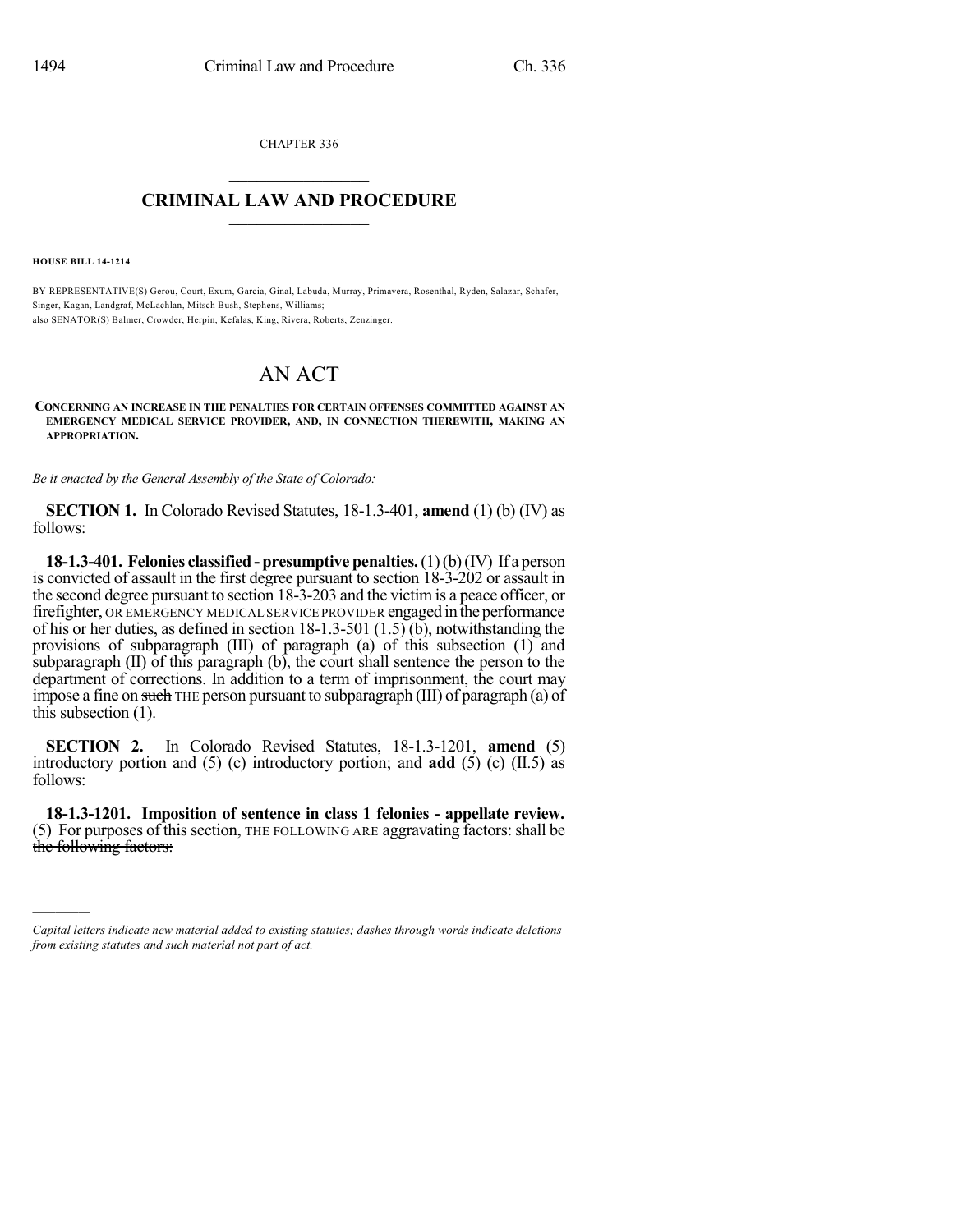CHAPTER 336  $\overline{\phantom{a}}$  . The set of the set of the set of the set of the set of the set of the set of the set of the set of the set of the set of the set of the set of the set of the set of the set of the set of the set of the set o

## **CRIMINAL LAW AND PROCEDURE**  $\frac{1}{2}$  ,  $\frac{1}{2}$  ,  $\frac{1}{2}$  ,  $\frac{1}{2}$  ,  $\frac{1}{2}$  ,  $\frac{1}{2}$  ,  $\frac{1}{2}$

**HOUSE BILL 14-1214**

)))))

BY REPRESENTATIVE(S) Gerou, Court, Exum, Garcia, Ginal, Labuda, Murray, Primavera, Rosenthal, Ryden, Salazar, Schafer, Singer, Kagan, Landgraf, McLachlan, Mitsch Bush, Stephens, Williams; also SENATOR(S) Balmer, Crowder, Herpin, Kefalas, King, Rivera, Roberts, Zenzinger.

## AN ACT

**CONCERNING AN INCREASE IN THE PENALTIES FOR CERTAIN OFFENSES COMMITTED AGAINST AN EMERGENCY MEDICAL SERVICE PROVIDER, AND, IN CONNECTION THEREWITH, MAKING AN APPROPRIATION.**

*Be it enacted by the General Assembly of the State of Colorado:*

**SECTION 1.** In Colorado Revised Statutes, 18-1.3-401, **amend** (1) (b) (IV) as follows:

**18-1.3-401. Felonies classified - presumptive penalties.**(1)(b)(IV) If a person is convicted of assault in the first degree pursuant to section 18-3-202 or assault in the second degree pursuant to section 18-3-203 and the victim is a peace officer,  $\sigma$ firefighter, OR EMERGENCY MEDICAL SERVICE PROVIDER engaged in the performance of his or her duties, as defined in section 18-1.3-501 (1.5) (b), notwithstanding the provisions of subparagraph (III) of paragraph (a) of this subsection (1) and subparagraph (II) of this paragraph (b), the court shall sentence the person to the department of corrections. In addition to a term of imprisonment, the court may impose a fine on such THE person pursuant to subparagraph (III) of paragraph (a) of this subsection (1).

**SECTION 2.** In Colorado Revised Statutes, 18-1.3-1201, **amend** (5) introductory portion and (5) (c) introductory portion; and **add** (5) (c) (II.5) as follows:

**18-1.3-1201. Imposition of sentence in class 1 felonies - appellate review.** (5) For purposes of this section, THE FOLLOWING ARE aggravating factors: shall be the following factors:

*Capital letters indicate new material added to existing statutes; dashes through words indicate deletions from existing statutes and such material not part of act.*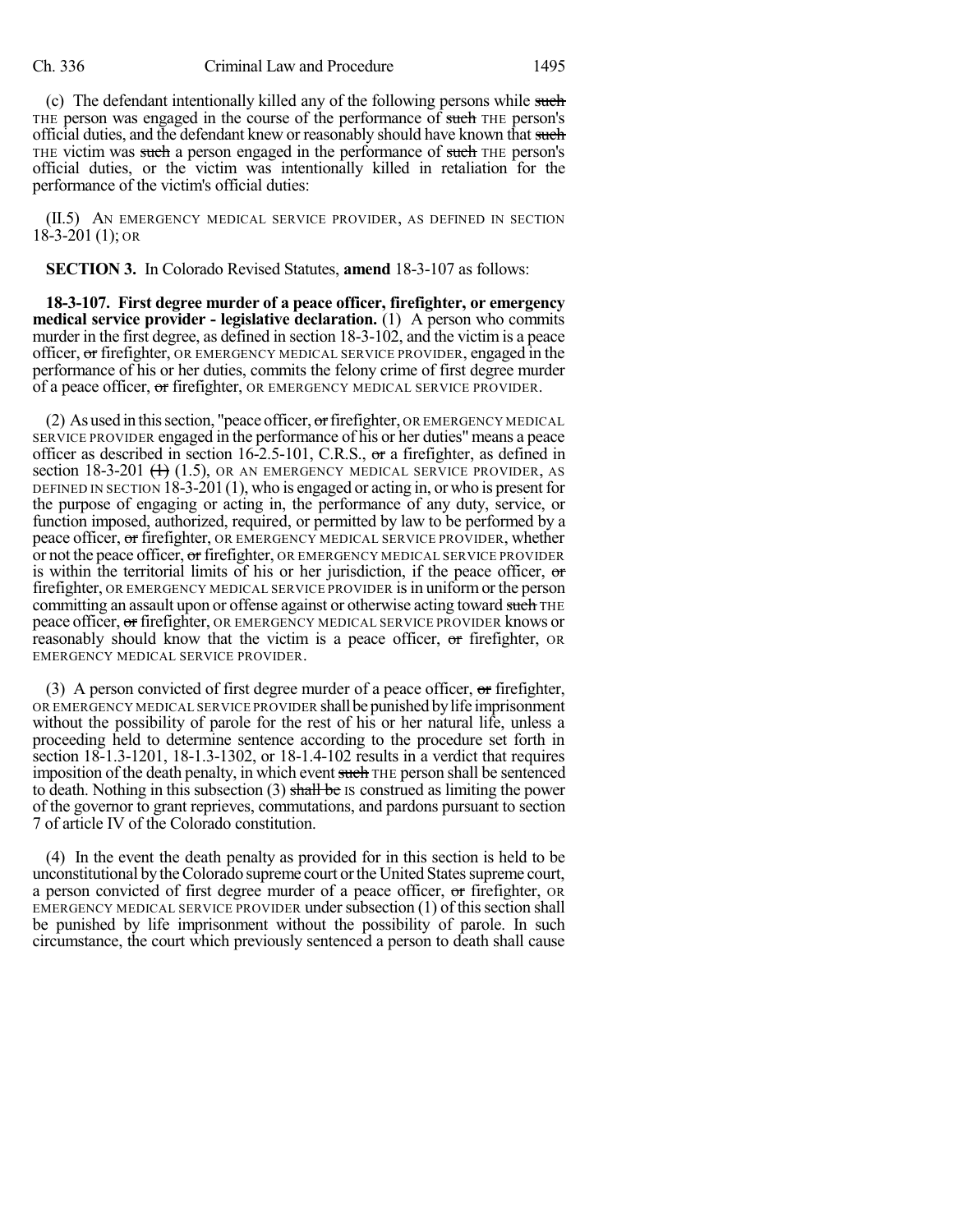(c) The defendant intentionally killed any of the following persons while such THE person was engaged in the course of the performance of such THE person's official duties, and the defendant knew or reasonably should have known that such THE victim was such a person engaged in the performance of such THE person's official duties, or the victim was intentionally killed in retaliation for the performance of the victim's official duties:

(II.5) AN EMERGENCY MEDICAL SERVICE PROVIDER, AS DEFINED IN SECTION 18-3-201 (1); OR

**SECTION 3.** In Colorado Revised Statutes, **amend** 18-3-107 as follows:

**18-3-107. First degree murder of a peace officer, firefighter, or emergency medical service provider - legislative declaration.** (1) A person who commits murder in the first degree, as defined in section 18-3-102, and the victim is a peace officer, or firefighter, OR EMERGENCY MEDICAL SERVICE PROVIDER, engaged in the performance of his or her duties, commits the felony crime of first degree murder of a peace officer, or firefighter, OR EMERGENCY MEDICAL SERVICE PROVIDER.

(2) As used in this section, "peace officer,  $\sigma$ r firefighter, OR EMERGENCY MEDICAL SERVICE PROVIDER engaged in the performance of his or her duties" means a peace officer as described in section 16-2.5-101, C.R.S., or a firefighter, as defined in section 18-3-201  $(1.5)$ , OR AN EMERGENCY MEDICAL SERVICE PROVIDER, AS DEFINED IN SECTION 18-3-201(1), who is engaged or acting in, or who is presentfor the purpose of engaging or acting in, the performance of any duty, service, or function imposed, authorized, required, or permitted by law to be performed by a peace officer, or firefighter, OR EMERGENCY MEDICAL SERVICE PROVIDER, whether or not the peace officer, or firefighter, OR EMERGENCY MEDICAL SERVICE PROVIDER is within the territorial limits of his or her jurisdiction, if the peace officer,  $\sigma$ firefighter, OR EMERGENCY MEDICAL SERVICE PROVIDER is in uniform or the person committing an assault upon or offense against or otherwise acting toward such THE peace officer, or firefighter, OR EMERGENCY MEDICAL SERVICE PROVIDER knows or reasonably should know that the victim is a peace officer, or firefighter, or EMERGENCY MEDICAL SERVICE PROVIDER.

(3) A person convicted of first degree murder of a peace officer,  $\sigma$  firefighter, OR EMERGENCY MEDICAL SERVICE PROVIDER shall be punished by life imprisonment without the possibility of parole for the rest of his or her natural life, unless a proceeding held to determine sentence according to the procedure set forth in section 18-1.3-1201, 18-1.3-1302, or 18-1.4-102 results in a verdict that requires imposition of the death penalty, in which event such THE person shall be sentenced to death. Nothing in this subsection  $(3)$  shall be IS construed as limiting the power of the governor to grant reprieves, commutations, and pardons pursuant to section 7 of article IV of the Colorado constitution.

(4) In the event the death penalty as provided for in this section is held to be unconstitutional bytheColorado supreme court orthe United Statessupreme court, a person convicted of first degree murder of a peace officer, or firefighter, OR EMERGENCY MEDICAL SERVICE PROVIDER under subsection  $(1)$  of this section shall be punished by life imprisonment without the possibility of parole. In such circumstance, the court which previously sentenced a person to death shall cause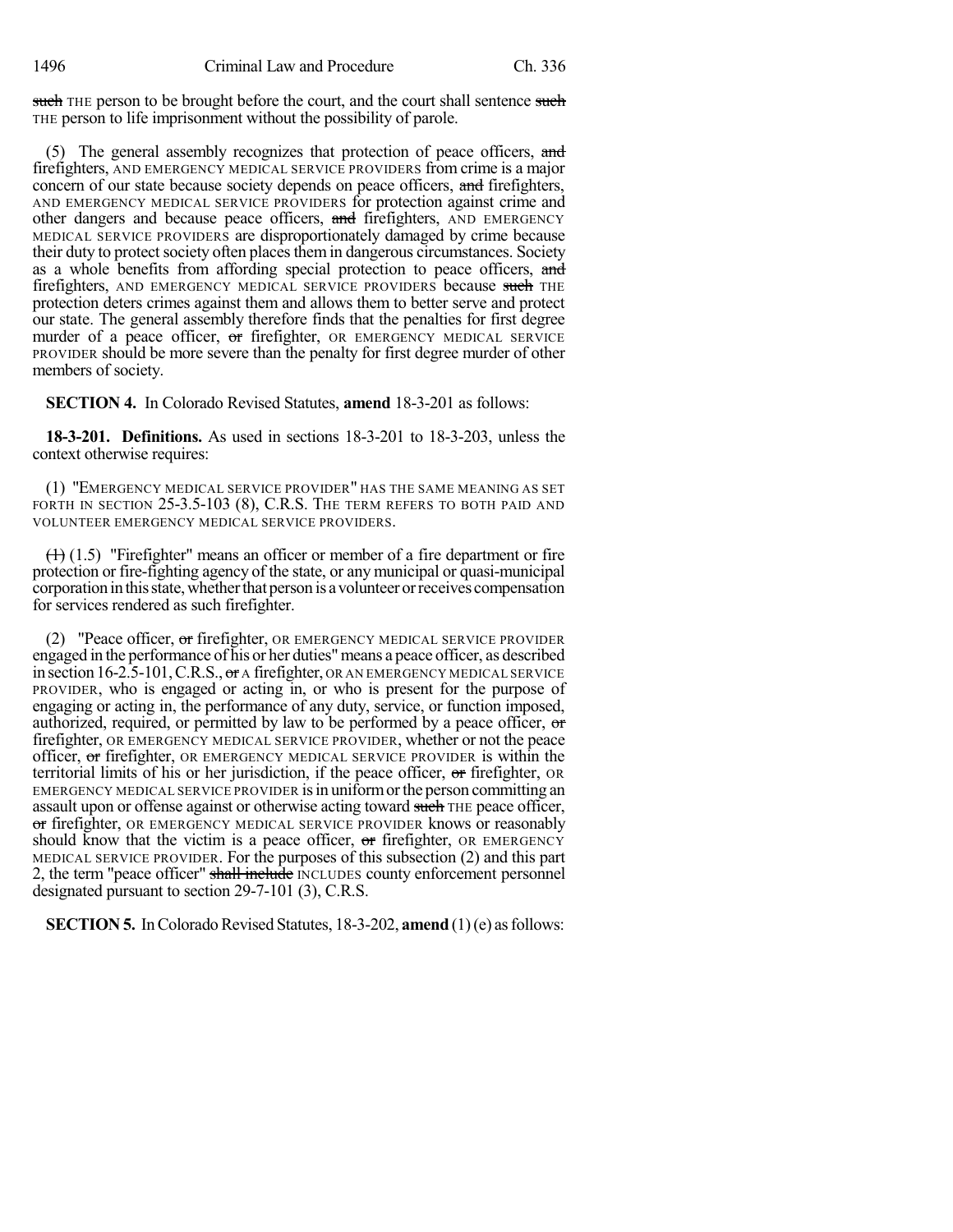such THE person to be brought before the court, and the court shall sentence such THE person to life imprisonment without the possibility of parole.

(5) The general assembly recognizes that protection of peace officers, and firefighters, AND EMERGENCY MEDICAL SERVICE PROVIDERS from crime is a major concern of our state because society depends on peace officers, and firefighters, AND EMERGENCY MEDICAL SERVICE PROVIDERS for protection against crime and other dangers and because peace officers, and firefighters, AND EMERGENCY MEDICAL SERVICE PROVIDERS are disproportionately damaged by crime because their duty to protect society often places them in dangerous circumstances. Society as a whole benefits from affording special protection to peace officers, and firefighters, AND EMERGENCY MEDICAL SERVICE PROVIDERS because such THE protection deters crimes against them and allows them to better serve and protect our state. The general assembly therefore finds that the penalties for first degree murder of a peace officer, or firefighter, OR EMERGENCY MEDICAL SERVICE PROVIDER should be more severe than the penalty for first degree murder of other members of society.

**SECTION 4.** In Colorado Revised Statutes, **amend** 18-3-201 as follows:

**18-3-201. Definitions.** As used in sections 18-3-201 to 18-3-203, unless the context otherwise requires:

(1) "EMERGENCY MEDICAL SERVICE PROVIDER" HAS THE SAME MEANING AS SET FORTH IN SECTION 25-3.5-103 (8), C.R.S. THE TERM REFERS TO BOTH PAID AND VOLUNTEER EMERGENCY MEDICAL SERVICE PROVIDERS.

 $(1)$  (1.5) "Firefighter" means an officer or member of a fire department or fire protection or fire-fighting agency of the state, or any municipal or quasi-municipal corporation in this state, whether that person is a volunteer or receives compensation for services rendered as such firefighter.

(2) "Peace officer, or firefighter, OR EMERGENCY MEDICAL SERVICE PROVIDER engaged in the performance of his or her duties"means a peace officer, as described in section  $16$ -2.5-101, C.R.S., or A firefighter, OR AN EMERGENCY MEDICAL SERVICE PROVIDER, who is engaged or acting in, or who is present for the purpose of engaging or acting in, the performance of any duty, service, or function imposed, authorized, required, or permitted by law to be performed by a peace officer,  $\sigma$ firefighter, OR EMERGENCY MEDICAL SERVICE PROVIDER, whether or not the peace officer, or firefighter, OR EMERGENCY MEDICAL SERVICE PROVIDER is within the territorial limits of his or her jurisdiction, if the peace officer, or firefighter, OR EMERGENCY MEDICAL SERVICE PROVIDER is in uniform or the person committing an assault upon or offense against or otherwise acting toward such THE peace officer, or firefighter, OR EMERGENCY MEDICAL SERVICE PROVIDER knows or reasonably should know that the victim is a peace officer, or firefighter, OR EMERGENCY MEDICAL SERVICE PROVIDER. For the purposes of this subsection (2) and this part 2, the term "peace officer" shall include INCLUDES county enforcement personnel designated pursuant to section 29-7-101 (3), C.R.S.

**SECTION 5.** In Colorado Revised Statutes, 18-3-202, **amend** (1)(e) as follows: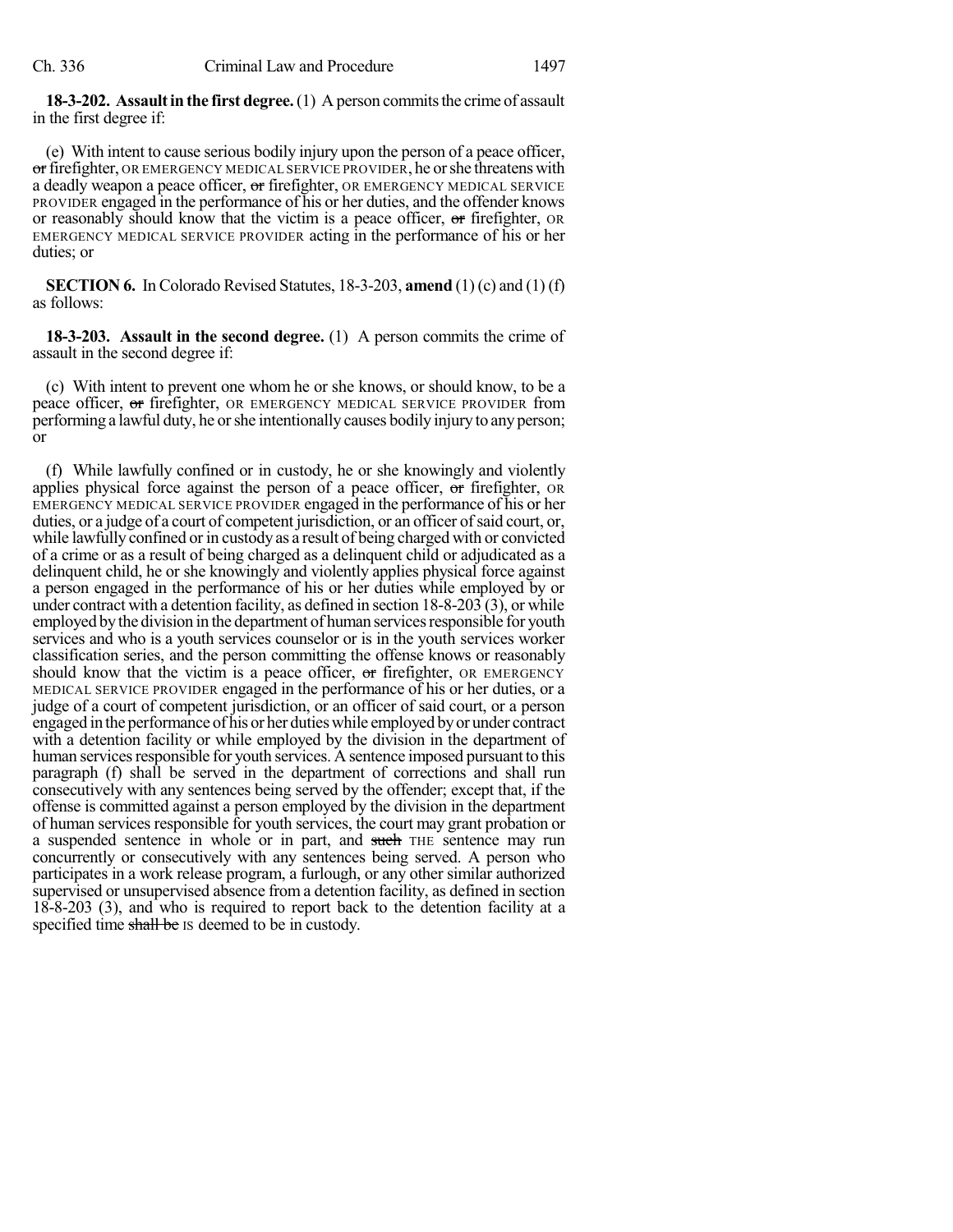**18-3-202.** Assault in the first degree. (1) A person commits the crime of assault in the first degree if:

(e) With intent to cause serious bodily injury upon the person of a peace officer, or firefighter, OR EMERGENCY MEDICAL SERVICE PROVIDER, he or she threatens with a deadly weapon a peace officer, or firefighter, OR EMERGENCY MEDICAL SERVICE PROVIDER engaged in the performance of his or her duties, and the offender knows or reasonably should know that the victim is a peace officer, or firefighter, OR EMERGENCY MEDICAL SERVICE PROVIDER acting in the performance of his or her duties; or

**SECTION 6.** In Colorado Revised Statutes, 18-3-203, **amend** (1) (c) and (1) (f) as follows:

**18-3-203. Assault in the second degree.** (1) A person commits the crime of assault in the second degree if:

(c) With intent to prevent one whom he or she knows, or should know, to be a peace officer, or firefighter, OR EMERGENCY MEDICAL SERVICE PROVIDER from performing a lawful duty, he orshe intentionally causes bodily injury to anyperson; or

(f) While lawfully confined or in custody, he or she knowingly and violently applies physical force against the person of a peace officer, or firefighter, OR EMERGENCY MEDICAL SERVICE PROVIDER engaged in the performance of his or her duties, or a judge of a court of competent jurisdiction, or an officer of said court, or, while lawfully confined or in custody as a result of being charged with or convicted of a crime or as a result of being charged as a delinquent child or adjudicated as a delinquent child, he or she knowingly and violently applies physical force against a person engaged in the performance of his or her duties while employed by or under contract with a detention facility, as defined in section 18-8-203 (3), or while employed by the division in the department of human services responsible for youth services and who is a youth services counselor or is in the youth services worker classification series, and the person committing the offense knows or reasonably should know that the victim is a peace officer,  $\sigma$ r firefighter, OR EMERGENCY MEDICAL SERVICE PROVIDER engaged in the performance of his or her duties, or a judge of a court of competent jurisdiction, or an officer of said court, or a person engaged in the performance of his or her dutieswhile employed byor under contract with a detention facility or while employed by the division in the department of human services responsible for youth services. A sentence imposed pursuant to this paragraph (f) shall be served in the department of corrections and shall run consecutively with any sentences being served by the offender; except that, if the offense is committed against a person employed by the division in the department of human services responsible for youth services, the court may grant probation or a suspended sentence in whole or in part, and such THE sentence may run concurrently or consecutively with any sentences being served. A person who participates in a work release program, a furlough, or any other similar authorized supervised or unsupervised absence from a detention facility, as defined in section 18-8-203 (3), and who is required to report back to the detention facility at a specified time shall be IS deemed to be in custody.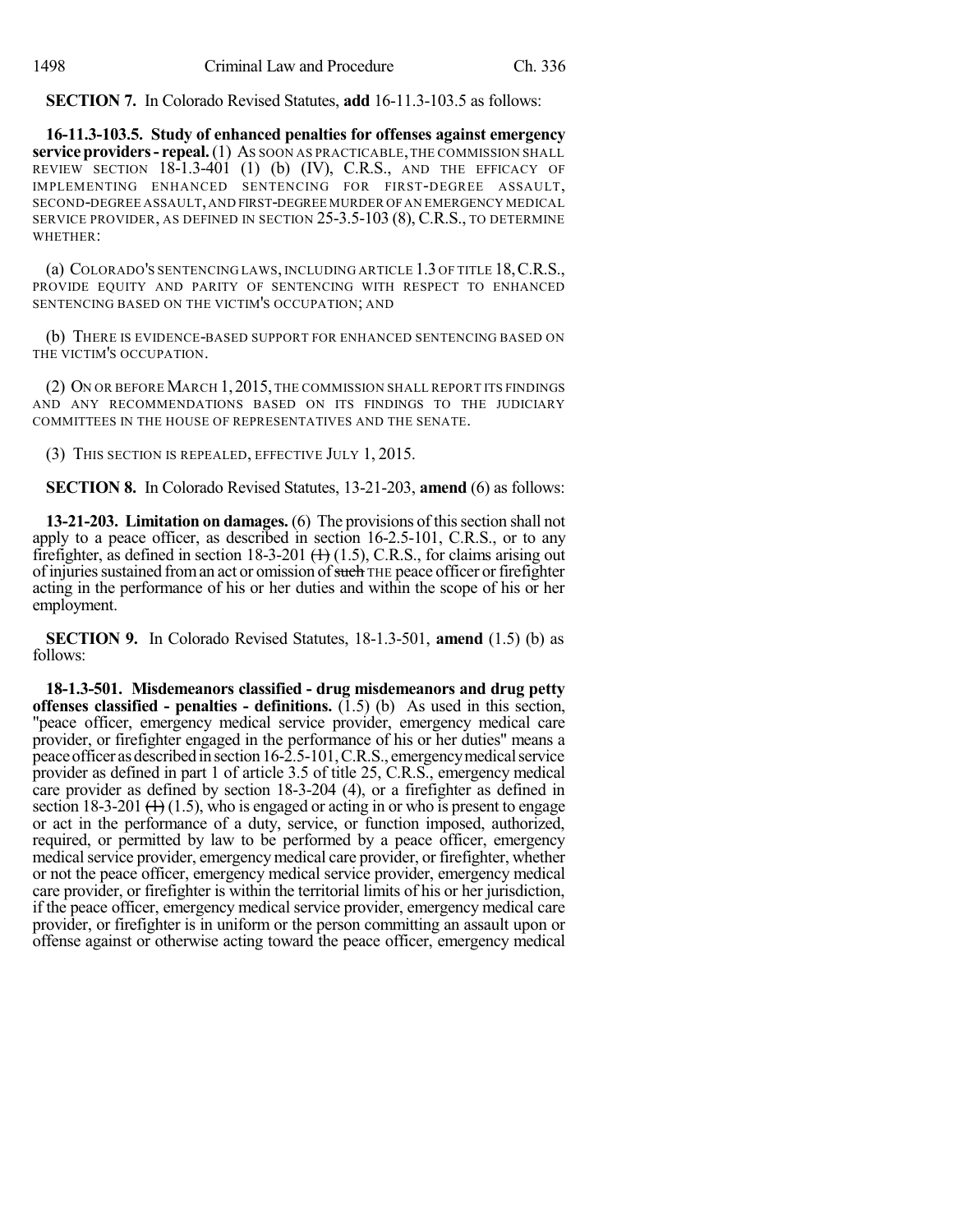**SECTION 7.** In Colorado Revised Statutes, **add** 16-11.3-103.5 as follows:

**16-11.3-103.5. Study of enhanced penalties for offenses against emergency service providers- repeal.**(1) AS SOON AS PRACTICABLE,THE COMMISSION SHALL REVIEW SECTION 18-1.3-401 (1) (b) (IV), C.R.S., AND THE EFFICACY OF IMPLEMENTING ENHANCED SENTENCING FOR FIRST-DEGREE ASSAULT, SECOND-DEGREE ASSAULT,AND FIRST-DEGREE MURDER OFAN EMERGENCY MEDICAL SERVICE PROVIDER, AS DEFINED IN SECTION 25-3.5-103 (8), C.R.S., TO DETERMINE WHETHER:

(a) COLORADO'S SENTENCING LAWS, INCLUDING ARTICLE 1.3 OF TITLE 18,C.R.S., PROVIDE EQUITY AND PARITY OF SENTENCING WITH RESPECT TO ENHANCED SENTENCING BASED ON THE VICTIM'S OCCUPATION; AND

(b) THERE IS EVIDENCE-BASED SUPPORT FOR ENHANCED SENTENCING BASED ON THE VICTIM'S OCCUPATION.

(2) ON OR BEFORE MARCH 1,2015, THE COMMISSION SHALL REPORT ITS FINDINGS AND ANY RECOMMENDATIONS BASED ON ITS FINDINGS TO THE JUDICIARY COMMITTEES IN THE HOUSE OF REPRESENTATIVES AND THE SENATE.

(3) THIS SECTION IS REPEALED, EFFECTIVE JULY 1, 2015.

**SECTION 8.** In Colorado Revised Statutes, 13-21-203, **amend** (6) as follows:

**13-21-203. Limitation on damages.** (6) The provisions of this section shall not apply to a peace officer, as described in section 16-2.5-101, C.R.S., or to any firefighter, as defined in section 18-3-201  $(+)$  (1.5), C.R.S., for claims arising out of injuries sustained from an act or omission of such THE peace officer or firefighter acting in the performance of his or her duties and within the scope of his or her employment.

**SECTION 9.** In Colorado Revised Statutes, 18-1.3-501, **amend** (1.5) (b) as follows:

**18-1.3-501. Misdemeanors classified - drug misdemeanors and drug petty offenses classified - penalties - definitions.** (1.5) (b) As used in this section, "peace officer, emergency medical service provider, emergency medical care provider, or firefighter engaged in the performance of his or her duties" means a peace officer as described in section 16-2.5-101, C.R.S., emergency medical service provider as defined in part 1 of article 3.5 of title 25, C.R.S., emergency medical care provider as defined by section 18-3-204 (4), or a firefighter as defined in section 18-3-201  $(1)$  (1.5), who is engaged or acting in or who is present to engage or act in the performance of a duty, service, or function imposed, authorized, required, or permitted by law to be performed by a peace officer, emergency medical service provider, emergency medical care provider, or firefighter, whether or not the peace officer, emergency medical service provider, emergency medical care provider, or firefighter is within the territorial limits of his or her jurisdiction, if the peace officer, emergency medical service provider, emergency medical care provider, or firefighter is in uniform or the person committing an assault upon or offense against or otherwise acting toward the peace officer, emergency medical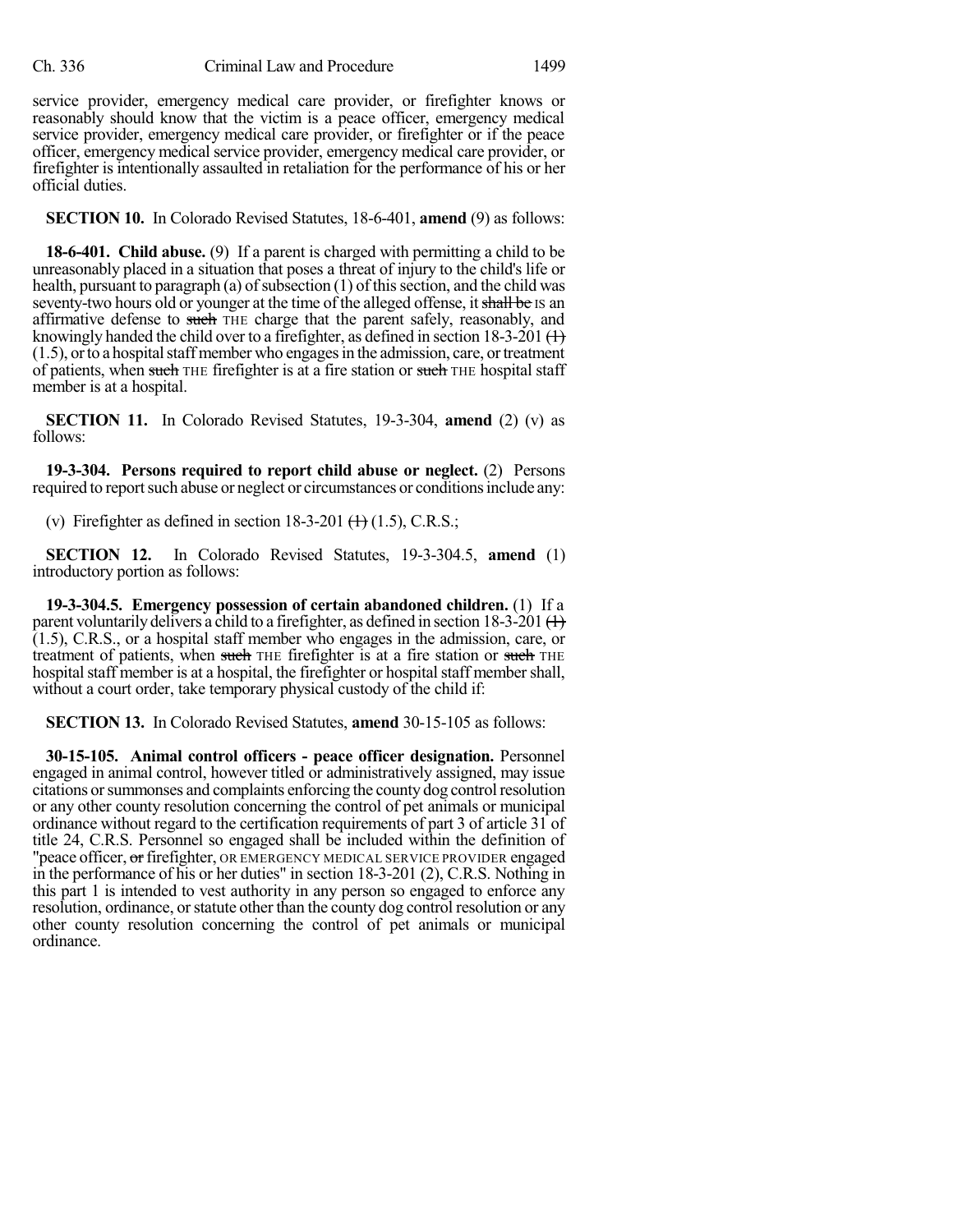service provider, emergency medical care provider, or firefighter knows or reasonably should know that the victim is a peace officer, emergency medical service provider, emergency medical care provider, or firefighter or if the peace officer, emergency medical service provider, emergency medical care provider, or firefighter is intentionally assaulted in retaliation for the performance of his or her official duties.

**SECTION 10.** In Colorado Revised Statutes, 18-6-401, **amend** (9) as follows:

**18-6-401. Child abuse.** (9) If a parent is charged with permitting a child to be unreasonably placed in a situation that poses a threat of injury to the child's life or health, pursuant to paragraph (a) of subsection  $(1)$  of this section, and the child was seventy-two hours old or younger at the time of the alleged offense, it shall be IS an affirmative defense to such THE charge that the parent safely, reasonably, and knowingly handed the child over to a firefighter, as defined in section 18-3-201  $(+)$  $(1.5)$ , or to a hospital staff member who engages in the admission, care, or treatment of patients, when such THE firefighter is at a fire station or such THE hospital staff member is at a hospital.

**SECTION 11.** In Colorado Revised Statutes, 19-3-304, **amend** (2) (v) as follows:

**19-3-304. Persons required to report child abuse or neglect.** (2) Persons required to report such abuse or neglect or circumstances or conditions include any:

(v) Firefighter as defined in section  $18-3-201$  ( $\text{+}$ ) (1.5), C.R.S.;

**SECTION 12.** In Colorado Revised Statutes, 19-3-304.5, **amend** (1) introductory portion as follows:

**19-3-304.5. Emergency possession of certain abandoned children.** (1) If a parent voluntarily delivers a child to a firefighter, as defined in section 18-3-201  $(+)$ (1.5), C.R.S., or a hospital staff member who engages in the admission, care, or treatment of patients, when such THE firefighter is at a fire station or such THE hospital staff member is at a hospital, the firefighter or hospital staff member shall, without a court order, take temporary physical custody of the child if:

**SECTION 13.** In Colorado Revised Statutes, **amend** 30-15-105 as follows:

**30-15-105. Animal control officers - peace officer designation.** Personnel engaged in animal control, however titled or administratively assigned, may issue citations orsummonses and complaints enforcing the county dog controlresolution or any other county resolution concerning the control of pet animals or municipal ordinance without regard to the certification requirements of part 3 of article 31 of title 24, C.R.S. Personnel so engaged shall be included within the definition of "peace officer, or firefighter, OR EMERGENCY MEDICAL SERVICE PROVIDER engaged in the performance of his or her duties" in section 18-3-201 (2), C.R.S. Nothing in this part 1 is intended to vest authority in any person so engaged to enforce any resolution, ordinance, or statute other than the county dog control resolution or any other county resolution concerning the control of pet animals or municipal ordinance.